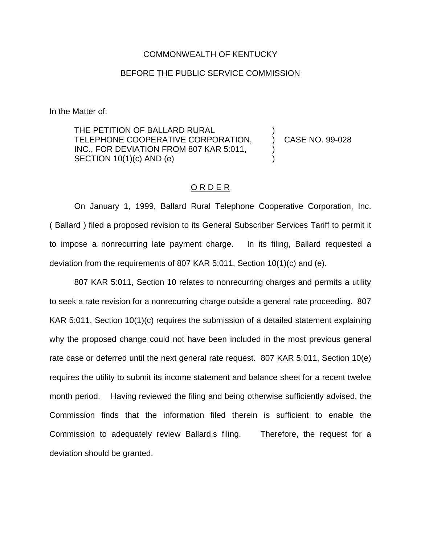## COMMONWEALTH OF KENTUCKY

## BEFORE THE PUBLIC SERVICE COMMISSION

In the Matter of:

THE PETITION OF BALLARD RURAL TELEPHONE COOPERATIVE CORPORATION, ) CASE NO. 99-028 INC., FOR DEVIATION FROM 807 KAR 5:011, SECTION  $10(1)(c)$  AND  $(e)$ 

## O R D E R

On January 1, 1999, Ballard Rural Telephone Cooperative Corporation, Inc. ( Ballard ) filed a proposed revision to its General Subscriber Services Tariff to permit it to impose a nonrecurring late payment charge. In its filing, Ballard requested a deviation from the requirements of 807 KAR 5:011, Section 10(1)(c) and (e).

807 KAR 5:011, Section 10 relates to nonrecurring charges and permits a utility to seek a rate revision for a nonrecurring charge outside a general rate proceeding. 807 KAR 5:011, Section 10(1)(c) requires the submission of a detailed statement explaining why the proposed change could not have been included in the most previous general rate case or deferred until the next general rate request. 807 KAR 5:011, Section 10(e) requires the utility to submit its income statement and balance sheet for a recent twelve month period. Having reviewed the filing and being otherwise sufficiently advised, the Commission finds that the information filed therein is sufficient to enable the Commission to adequately review Ballard s filing. Therefore, the request for a deviation should be granted.